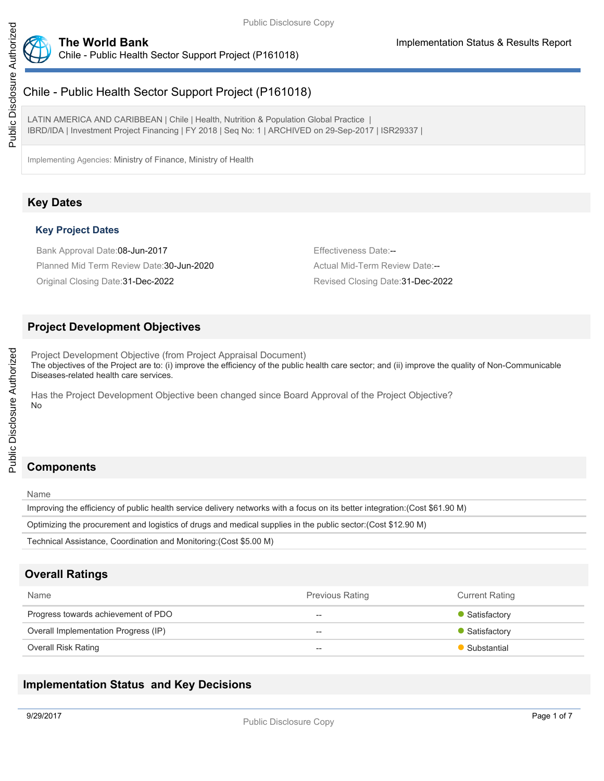

# Chile - Public Health Sector Support Project (P161018)

# Chile - Public Health Sector Support Project (P161018)

LATIN AMERICA AND CARIBBEAN | Chile | Health, Nutrition & Population Global Practice | IBRD/IDA | Investment Project Financing | FY 2018 | Seq No: 1 | ARCHIVED on 29-Sep-2017 | ISR29337 |

Implementing Agencies: Ministry of Finance, Ministry of Health

# **Key Dates**

#### **Key Project Dates**

Bank Approval Date:08-Jun-2017 **Effectiveness Date:--**Planned Mid Term Review Date:30-Jun-2020 Actual Mid-Term Review Date:--

Original Closing Date:31-Dec-2022 Revised Closing Date:31-Dec-2022

#### **Project Development Objectives**

Project Development Objective (from Project Appraisal Document) The objectives of the Project are to: (i) improve the efficiency of the public health care sector; and (ii) improve the quality of Non-Communicable Diseases-related health care services.

Has the Project Development Objective been changed since Board Approval of the Project Objective? No

# **Components**

Name

Improving the efficiency of public health service delivery networks with a focus on its better integration:(Cost \$61.90 M)

Optimizing the procurement and logistics of drugs and medical supplies in the public sector:(Cost \$12.90 M)

Technical Assistance, Coordination and Monitoring:(Cost \$5.00 M)

### **Overall Ratings**

| Name                                 | <b>Previous Rating</b> | <b>Current Rating</b> |
|--------------------------------------|------------------------|-----------------------|
| Progress towards achievement of PDO  | $- -$                  | • Satisfactory        |
| Overall Implementation Progress (IP) | $- -$                  | • Satisfactory        |
| <b>Overall Risk Rating</b>           | $- -$                  | • Substantial         |

### **Implementation Status and Key Decisions**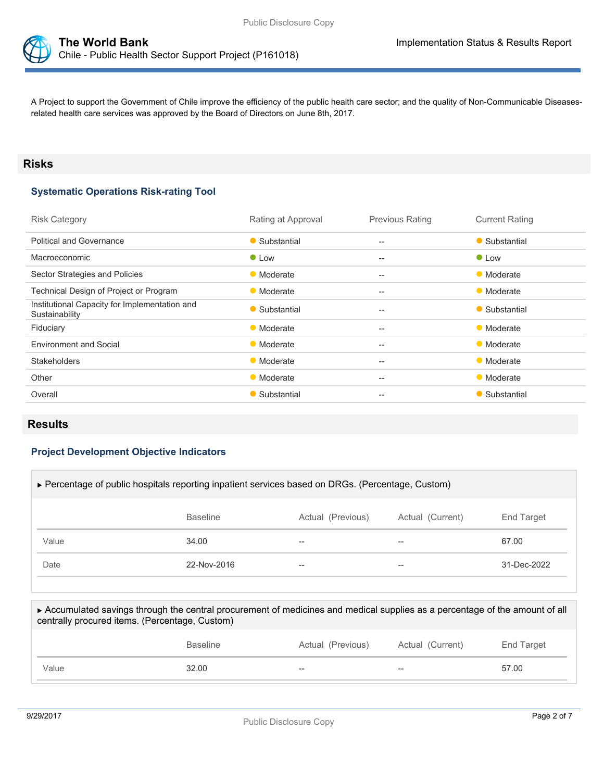

A Project to support the Government of Chile improve the efficiency of the public health care sector; and the quality of Non-Communicable Diseasesrelated health care services was approved by the Board of Directors on June 8th, 2017.

#### **Risks**

#### **Systematic Operations Risk-rating Tool**

| Rating at Approval | <b>Previous Rating</b>                              | <b>Current Rating</b> |
|--------------------|-----------------------------------------------------|-----------------------|
| • Substantial      | $- -$                                               | • Substantial         |
| $\bullet$ Low      | $\qquad \qquad -$                                   | $\bullet$ Low         |
| • Moderate         | $\hspace{0.05cm} -\hspace{0.05cm} -\hspace{0.05cm}$ | • Moderate            |
| • Moderate         | $\qquad \qquad -$                                   | • Moderate            |
| • Substantial      | $-$                                                 | • Substantial         |
| • Moderate         | $\hspace{0.05cm} -\hspace{0.05cm} -\hspace{0.05cm}$ | • Moderate            |
| • Moderate         | $- -$                                               | • Moderate            |
| • Moderate         | $- -$                                               | • Moderate            |
| • Moderate         | $\qquad \qquad -$                                   | • Moderate            |
| • Substantial      | $-$                                                 | • Substantial         |
|                    |                                                     |                       |

#### **Results**

**PHINDPDOTBL**

#### **Project Development Objective Indicators**

| ▶ Percentage of public hospitals reporting inpatient services based on DRGs. (Percentage, Custom) |                 |                          |                  |             |
|---------------------------------------------------------------------------------------------------|-----------------|--------------------------|------------------|-------------|
|                                                                                                   | <b>Baseline</b> | Actual (Previous)        | Actual (Current) | End Target  |
| Value                                                                                             | 34.00           | $\overline{\phantom{m}}$ | --               | 67.00       |
| Date                                                                                              | 22-Nov-2016     | $- -$                    | --               | 31-Dec-2022 |
|                                                                                                   |                 |                          |                  |             |

| Value                                                                                                                                                                        | 32.00           | --                | --               | 57.00      |
|------------------------------------------------------------------------------------------------------------------------------------------------------------------------------|-----------------|-------------------|------------------|------------|
|                                                                                                                                                                              | <b>Baseline</b> | Actual (Previous) | Actual (Current) | End Target |
| Accumulated savings through the central procurement of medicines and medical supplies as a percentage of the amount of all<br>centrally procured items. (Percentage, Custom) |                 |                   |                  |            |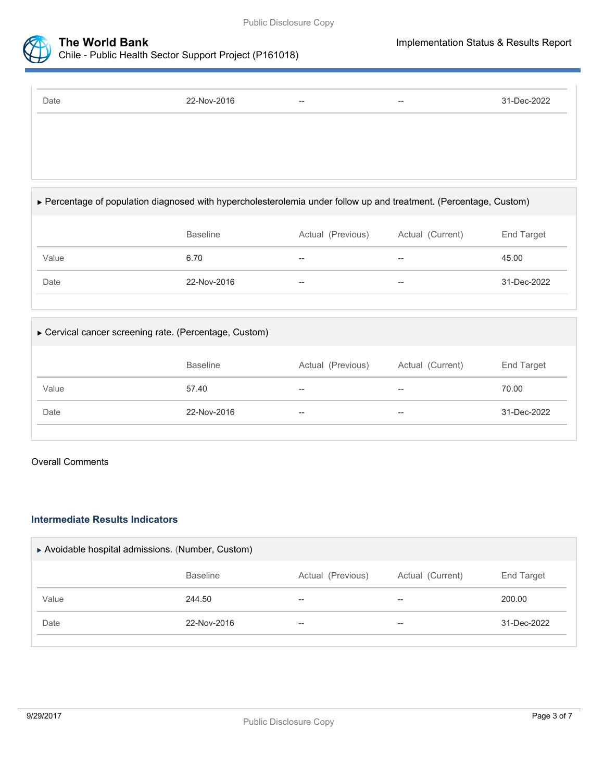



# Chile - Public Health Sector Support Project (P161018)

Date 22-Nov-2016 -- -- 31-Dec-2022

#### Percentage of population diagnosed with hypercholesterolemia under follow up and treatment. (Percentage, Custom)

|       | <b>Baseline</b> | Actual (Previous) | Actual (Current)         | End Target  |
|-------|-----------------|-------------------|--------------------------|-------------|
| Value | 6.70            | $- -$             | $\overline{\phantom{m}}$ | 45.00       |
| Date  | 22-Nov-2016     | $- -$             | $\hspace{0.05cm}$        | 31-Dec-2022 |

# Cervical cancer screening rate. (Percentage, Custom) Baseline **Actual (Previous)** Actual (Current) End Target Value 57.40 -- -- 70.00 Date 22-Nov-2016 -- -- 31-Dec-2022

#### Overall Comments

#### **Intermediate Results Indicators**

| Actual (Current) | End Target  |
|------------------|-------------|
| $- -$            | 200.00      |
| --               | 31-Dec-2022 |
|                  |             |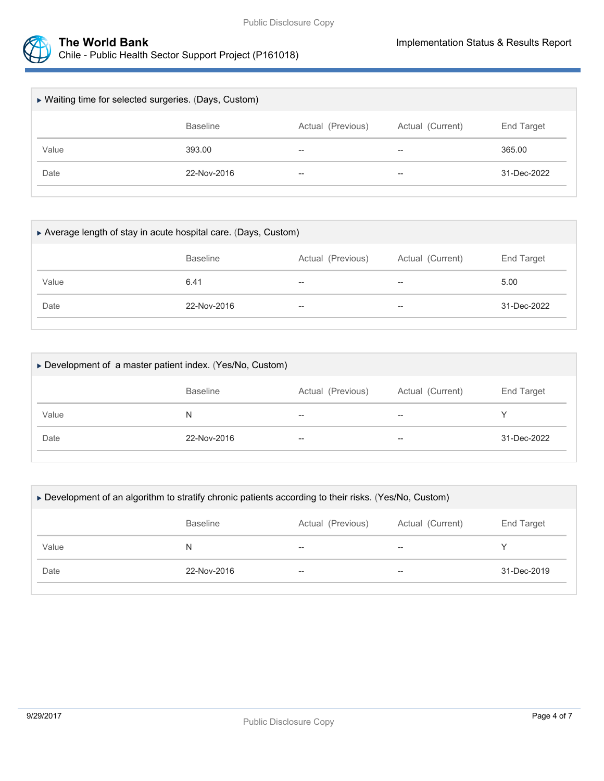



| ▶ Waiting time for selected surgeries. (Days, Custom) |                 |                          |                   |             |
|-------------------------------------------------------|-----------------|--------------------------|-------------------|-------------|
|                                                       | <b>Baseline</b> | Actual (Previous)        | Actual (Current)  | End Target  |
| Value                                                 | 393.00          | $- -$                    | $\hspace{0.05cm}$ | 365.00      |
| Date                                                  | 22-Nov-2016     | $\overline{\phantom{a}}$ | $\hspace{0.05cm}$ | 31-Dec-2022 |
|                                                       |                 |                          |                   |             |

| Average length of stay in acute hospital care. (Days, Custom) |                 |                          |                   |             |  |
|---------------------------------------------------------------|-----------------|--------------------------|-------------------|-------------|--|
|                                                               | <b>Baseline</b> | Actual (Previous)        | Actual (Current)  | End Target  |  |
| Value                                                         | 6.41            | $- -$                    | $- -$             | 5.00        |  |
| Date                                                          | 22-Nov-2016     | $\overline{\phantom{a}}$ | $\hspace{0.05cm}$ | 31-Dec-2022 |  |
|                                                               |                 |                          |                   |             |  |

| ► Development of a master patient index. (Yes/No, Custom) |                 |                   |                  |                   |
|-----------------------------------------------------------|-----------------|-------------------|------------------|-------------------|
|                                                           | <b>Baseline</b> | Actual (Previous) | Actual (Current) | <b>End Target</b> |
| Value                                                     | N               | $- -$             | $-$              |                   |
| Date                                                      | 22-Nov-2016     | $- -$             | $- -$            | 31-Dec-2022       |
|                                                           |                 |                   |                  |                   |

| <b>Baseline</b> | Actual (Previous) | Actual (Current) | End Target                                                                                            |
|-----------------|-------------------|------------------|-------------------------------------------------------------------------------------------------------|
| N               | $-$               | $-$              |                                                                                                       |
| 22-Nov-2016     | --                | $- -$            | 31-Dec-2019                                                                                           |
|                 |                   |                  | ► Development of an algorithm to stratify chronic patients according to their risks. (Yes/No, Custom) |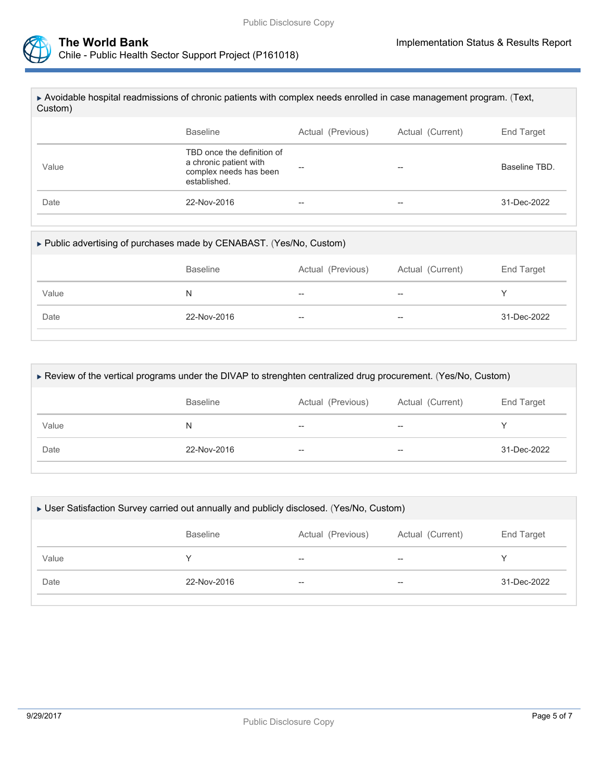

| <b>Baseline</b><br>Actual (Current)<br>End Target<br>Actual (Previous)<br>TBD once the definition of | $\triangleright$ Avoidable hospital readmissions of chronic patients with complex needs enrolled in case management program. (Text,<br>Custom) |                        |  |               |
|------------------------------------------------------------------------------------------------------|------------------------------------------------------------------------------------------------------------------------------------------------|------------------------|--|---------------|
|                                                                                                      |                                                                                                                                                |                        |  |               |
| $- -$<br>complex needs has been<br>established.                                                      | Value                                                                                                                                          | a chronic patient with |  | Baseline TBD. |
| Date<br>22-Nov-2016<br>31-Dec-2022<br>--<br>$-$                                                      |                                                                                                                                                |                        |  |               |

#### Public advertising of purchases made by CENABAST. (Yes/No, Custom)

|       | <b>Baseline</b> | Actual (Previous)        | Actual (Current) | End Target  |
|-------|-----------------|--------------------------|------------------|-------------|
| Value | N               | $- -$                    | $- -$            |             |
| Date  | 22-Nov-2016     | $\hspace{0.05cm} \dashv$ | $- -$            | 31-Dec-2022 |

| ► Review of the vertical programs under the DIVAP to strenghten centralized drug procurement. (Yes/No, Custom) |                 |                   |                  |             |  |  |
|----------------------------------------------------------------------------------------------------------------|-----------------|-------------------|------------------|-------------|--|--|
|                                                                                                                | <b>Baseline</b> | Actual (Previous) | Actual (Current) | End Target  |  |  |
| Value                                                                                                          | N               | --                | $- -$            |             |  |  |
| Date                                                                                                           | 22-Nov-2016     |                   | --               | 31-Dec-2022 |  |  |
|                                                                                                                |                 |                   |                  |             |  |  |

| ► User Satisfaction Survey carried out annually and publicly disclosed. (Yes/No, Custom) |                   |                  |             |  |  |  |
|------------------------------------------------------------------------------------------|-------------------|------------------|-------------|--|--|--|
| <b>Baseline</b>                                                                          | Actual (Previous) | Actual (Current) | End Target  |  |  |  |
|                                                                                          | $- -$             | $- -$            |             |  |  |  |
| 22-Nov-2016                                                                              | $- -$             | $-$              | 31-Dec-2022 |  |  |  |
|                                                                                          |                   |                  |             |  |  |  |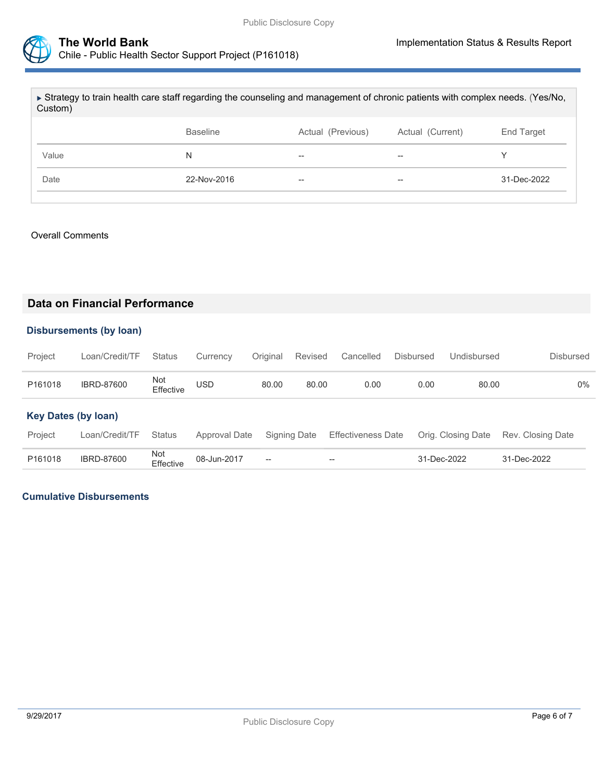

| ► Strategy to train health care staff regarding the counseling and management of chronic patients with complex needs. (Yes/No,<br>Custom) |                 |                   |                  |             |  |  |  |
|-------------------------------------------------------------------------------------------------------------------------------------------|-----------------|-------------------|------------------|-------------|--|--|--|
|                                                                                                                                           | <b>Baseline</b> | Actual (Previous) | Actual (Current) | End Target  |  |  |  |
| Value                                                                                                                                     | N               | $- -$             | --               |             |  |  |  |
| Date                                                                                                                                      | 22-Nov-2016     | $- -$             | --               | 31-Dec-2022 |  |  |  |
|                                                                                                                                           |                 |                   |                  |             |  |  |  |

#### Overall Comments

#### **Data on Financial Performance**

#### **Disbursements (by loan)**

| Project | Loan/Credit/TF Status |                  | Currency Original Revised Cancelled |       |       |      | Disbursed | Undisbursed | Disbursed |
|---------|-----------------------|------------------|-------------------------------------|-------|-------|------|-----------|-------------|-----------|
| P161018 | <b>IBRD-87600</b>     | Not<br>Effective | <b>USD</b>                          | 80.00 | 80.00 | 0.00 | 0.00      | 80.00       | 0%        |

#### **Key Dates (by loan)**

| Project |                   |                               |                                                | Loan/Credit/TF Status Approval Date Signing Date Effectiveness Date Orig. Closing Date Rev. Closing Date |             |             |
|---------|-------------------|-------------------------------|------------------------------------------------|----------------------------------------------------------------------------------------------------------|-------------|-------------|
| P161018 | <b>IBRD-87600</b> | Not<br>Effective  08-Jun-2017 | $\hspace{0.1mm}-\hspace{0.1mm}-\hspace{0.1mm}$ | $\sim$                                                                                                   | 31-Dec-2022 | 31-Dec-2022 |

#### **Cumulative Disbursements**